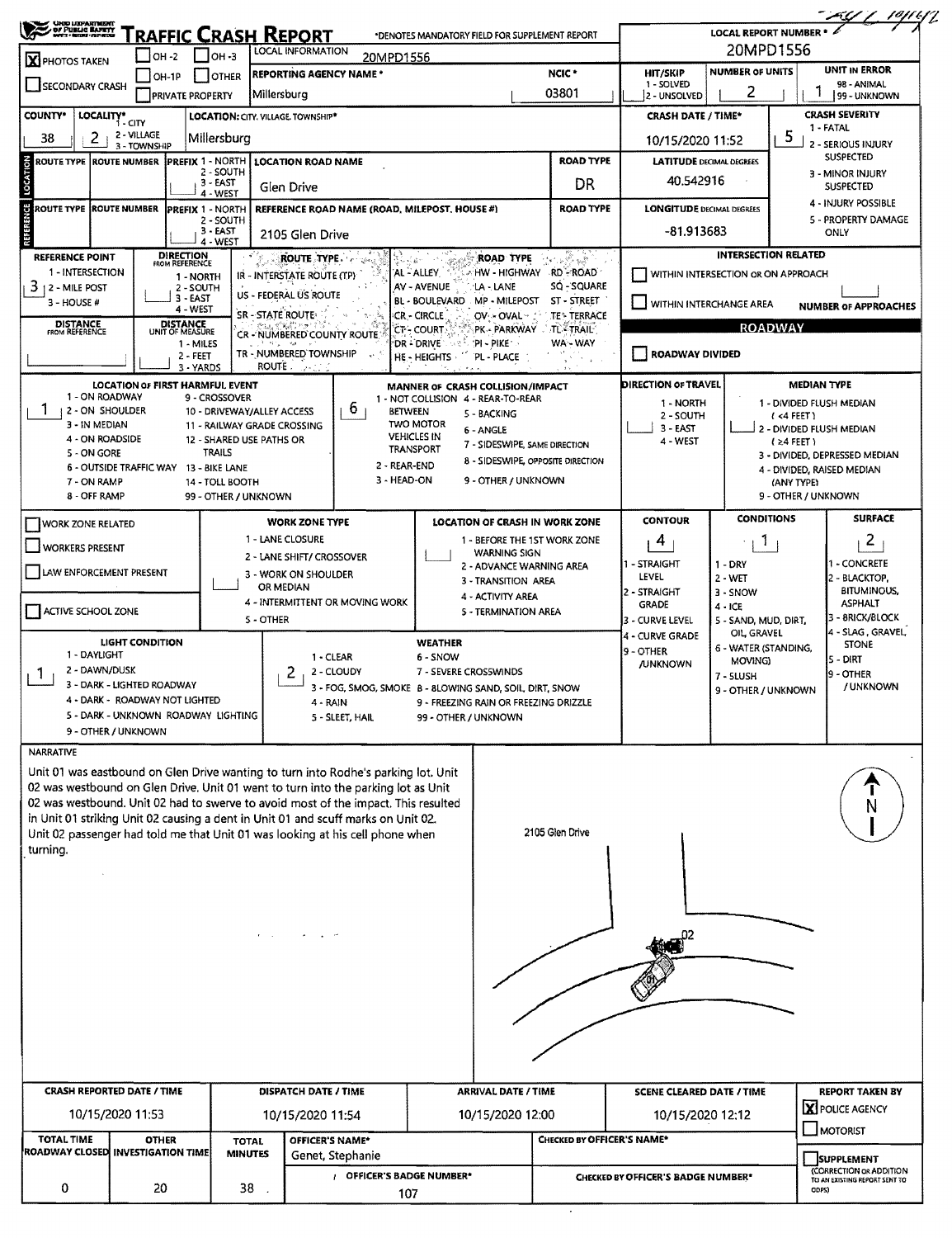| UNIO LIEPARTMENT<br>  DF FUBLIC BARRY<br>  myth + hode + nithing                                                                                        |                                                                                     |                        |                                        |                        |                                                         |                                                                                                                                                                         |                                                                        |                                                 |                                       |                                      | <b>LOCAL REPORT NUMBER *</b>                   |                     | <u>AY (19/14</u>                        |  |  |  |
|---------------------------------------------------------------------------------------------------------------------------------------------------------|-------------------------------------------------------------------------------------|------------------------|----------------------------------------|------------------------|---------------------------------------------------------|-------------------------------------------------------------------------------------------------------------------------------------------------------------------------|------------------------------------------------------------------------|-------------------------------------------------|---------------------------------------|--------------------------------------|------------------------------------------------|---------------------|-----------------------------------------|--|--|--|
| RAFFIC CRASH REPORT<br>*DENOTES MANDATORY FIELD FOR SUPPLEMENT REPORT<br><b>LOCAL INFORMATION</b><br>$ OH - 3 $<br>OH -2<br>20MPD1556<br>X PHOTOS TAKEN |                                                                                     |                        |                                        |                        |                                                         |                                                                                                                                                                         |                                                                        |                                                 |                                       | 20MPD1556                            |                                                |                     |                                         |  |  |  |
| NCIC <sup>*</sup><br><b>REPORTING AGENCY NAME *</b><br>OH-1P<br><b>JOTHER</b><br><b>SECONDARY CRASH</b>                                                 |                                                                                     |                        |                                        |                        |                                                         |                                                                                                                                                                         |                                                                        |                                                 |                                       | <b>HIT/SKIP</b>                      | <b>UNIT IN ERROR</b><br><b>NUMBER OF UNITS</b> |                     |                                         |  |  |  |
|                                                                                                                                                         |                                                                                     |                        | <b>PRIVATE PROPERTY</b>                |                        | Millersburg                                             |                                                                                                                                                                         |                                                                        |                                                 | 03801                                 | 1 - SOLVED<br>2 - UNSOLVED           | 2                                              |                     | 98 - ANIMAL<br>99 - UNKNOWN             |  |  |  |
| <b>COUNTY</b> *                                                                                                                                         | LOCALITY* CITY                                                                      |                        |                                        |                        | LOCATION: CITY. VILLAGE. TOWNSHIP*                      |                                                                                                                                                                         |                                                                        |                                                 |                                       | <b>CRASH DATE / TIME*</b>            |                                                |                     | <b>CRASH SEVERITY</b>                   |  |  |  |
| 38                                                                                                                                                      | 2                                                                                   | 2 - VILLAGE            |                                        | Millersburg            |                                                         |                                                                                                                                                                         |                                                                        | 10/15/2020 11:52                                |                                       | 5                                    | 1 - FATAL                                      |                     |                                         |  |  |  |
|                                                                                                                                                         | 3 - TOWNSHIP<br><b>ROUTE TYPE ROUTE NUMBER</b><br><b>PREFIX 1 - NORTH</b>           |                        |                                        |                        |                                                         |                                                                                                                                                                         |                                                                        |                                                 | <b>ROAD TYPE</b>                      | <b>LATITUDE DECIMAL DEGREES</b>      |                                                |                     | 2 - SERIOUS INJURY<br><b>SUSPECTED</b>  |  |  |  |
| LOCATION                                                                                                                                                | 2 - SOUTH<br>$3 - EAST$                                                             |                        |                                        |                        |                                                         | <b>LOCATION ROAD NAME</b>                                                                                                                                               |                                                                        |                                                 |                                       |                                      |                                                |                     | 3 - MINOR INJURY                        |  |  |  |
|                                                                                                                                                         | Glen Drive<br>4 - WEST<br><b>ROUTE TYPE ROUTE NUMBER</b><br><b>PREFIX 1 - NORTH</b> |                        |                                        |                        |                                                         |                                                                                                                                                                         |                                                                        |                                                 | DR                                    | 40,542916                            |                                                |                     | <b>SUSPECTED</b><br>4 - INJURY POSSIBLE |  |  |  |
| REFERENCE                                                                                                                                               |                                                                                     |                        |                                        | 2 - SOUTH              |                                                         | REFERENCE ROAD NAME (ROAD, MILEPOST, HOUSE #)                                                                                                                           |                                                                        |                                                 | <b>ROAD TYPE</b>                      | <b>LONGITUDE DECIMAL DEGREES</b>     |                                                |                     | 5 - PROPERTY DAMAGE                     |  |  |  |
|                                                                                                                                                         |                                                                                     |                        |                                        | $3 - EAST$<br>4 - WEST | 2105 Glen Drive                                         |                                                                                                                                                                         |                                                                        |                                                 |                                       | -81.913683                           |                                                |                     | ONLY                                    |  |  |  |
| <b>REFERENCE POINT</b>                                                                                                                                  |                                                                                     |                        | <b>DIRECTION</b><br>FROM REFERENCE     |                        | <b>ROUTE TYPE.</b>                                      |                                                                                                                                                                         |                                                                        | <b>ROAD TYPE</b>                                | F.<br>$\frac{1}{2\sqrt{2}}$           |                                      | <b>INTERSECTION RELATED</b>                    |                     |                                         |  |  |  |
| 1 - INTERSECTION                                                                                                                                        |                                                                                     |                        | 1 - NORTH                              |                        | IR - INTERSTATE ROUTE (TP)                              |                                                                                                                                                                         | AL - ALLEY                                                             |                                                 | A HW - HIGHWAY - RD - ROAD`           | WITHIN INTERSECTION OR ON APPROACH   |                                                |                     |                                         |  |  |  |
| 3<br>12 - Mile Post<br>3 - HOUSE #                                                                                                                      |                                                                                     |                        | 2 - SOUTH<br>$3 - EAST$                |                        | US - FEDERAL US ROUTE                                   |                                                                                                                                                                         | AV - AVENUE<br><b>BL - BOULEVARD</b>                                   | 'LA - LANE<br>MP - MILEPOST                     | SQ - SQUARE<br>ST - STREET            |                                      |                                                |                     |                                         |  |  |  |
|                                                                                                                                                         |                                                                                     |                        | 4 - WEST<br><b>DISTANCE</b>            |                        | <b>SR - STATE ROUTE:</b>                                |                                                                                                                                                                         | <b>CR-CIRCLE</b>                                                       | OV - OVAL -                                     | <b>TE* TERRACE</b>                    | WITHIN INTERCHANGE AREA              |                                                |                     | <b>NUMBER OF APPROACHES</b>             |  |  |  |
| <b>DISTANCE</b><br>FROM REFERENCE                                                                                                                       |                                                                                     |                        | UNIT OF MEASURE<br>1 - MILES           |                        | CR - NUMBERED COUNTY ROUTE                              |                                                                                                                                                                         | <b>CT - COURT</b><br>DR - DRIVE                                        | 'PI - PIKE'                                     | PK - PARKWAY TL TRAIL<br>WA - WAY     |                                      |                                                | <b>ROADWAY</b>      |                                         |  |  |  |
|                                                                                                                                                         |                                                                                     |                        | $2 - FEET$                             |                        | TR - NUMBERED TOWNSHIP                                  |                                                                                                                                                                         | HE - HEIGHTS                                                           | PL - PLACE                                      | $\sim$                                | <b>ROADWAY DIVIDED</b>               |                                                |                     |                                         |  |  |  |
|                                                                                                                                                         |                                                                                     |                        | 3 - YARDS                              |                        | ROUTE.<br>الألافين                                      |                                                                                                                                                                         |                                                                        |                                                 |                                       | <b>DIRECTION OF TRAVEL</b>           |                                                | <b>MEDIAN TYPE</b>  |                                         |  |  |  |
|                                                                                                                                                         | 1 - ON ROADWAY                                                                      |                        | <b>LOCATION OF FIRST HARMFUL EVENT</b> | 9 - CROSSOVER          |                                                         |                                                                                                                                                                         | MANNER OF CRASH COLLISION/IMPACT<br>1 - NOT COLLISION 4 - REAR-TO-REAR |                                                 |                                       | 1 - NORTH                            |                                                |                     | 1 - DIVIDED FLUSH MEDIAN                |  |  |  |
|                                                                                                                                                         | 2 - ON SHOULDER<br>3 - IN MEDIAN                                                    |                        |                                        |                        | 10 - DRIVEWAY/ALLEY ACCESS                              | b.                                                                                                                                                                      | <b>BETWEEN</b><br><b>TWO MOTOR</b>                                     | 5 - BACKING                                     |                                       | 2 - SOUTH                            |                                                | (<4 FEET)           |                                         |  |  |  |
|                                                                                                                                                         | 4 - ON ROADSIDE                                                                     |                        |                                        |                        | 11 - RAILWAY GRADE CROSSING<br>12 - SHARED USE PATHS OR |                                                                                                                                                                         | <b>VEHICLES IN</b>                                                     | 6 - ANGLE<br>7 - SIDESWIPE, SAME DIRECTION      |                                       | 3 - EAST<br>4 - WEST                 |                                                | $(24$ FEET)         | 2 - DIVIDED FLUSH MEDIAN                |  |  |  |
|                                                                                                                                                         | 5 - ON GORE                                                                         |                        |                                        | <b>TRAILS</b>          |                                                         |                                                                                                                                                                         | TRANSPORT                                                              |                                                 | 8 - SIDESWIPE, OPPOSITE DIRECTION     |                                      |                                                |                     | 3 - DIVIDED, DEPRESSED MEDIAN           |  |  |  |
|                                                                                                                                                         | 7 - ON RAMP                                                                         |                        | 6 - OUTSIDE TRAFFIC WAY 13 - BIKE LANE | 14 - TOLL BOOTH        |                                                         |                                                                                                                                                                         | 2 - REAR-END<br>3 - HEAD-ON                                            | 9 - OTHER / UNKNOWN                             |                                       |                                      |                                                | (ANY TYPE)          | 4 - DIVIDED, RAISED MEDIAN              |  |  |  |
|                                                                                                                                                         | 8 - OFF RAMP                                                                        |                        |                                        | 99 - OTHER / UNKNOWN   |                                                         |                                                                                                                                                                         |                                                                        |                                                 |                                       |                                      |                                                | 9 - OTHER / UNKNOWN |                                         |  |  |  |
| <b>WORK ZONE RELATED</b>                                                                                                                                |                                                                                     |                        |                                        |                        | <b>WORK ZONE TYPE</b>                                   |                                                                                                                                                                         |                                                                        |                                                 | <b>LOCATION OF CRASH IN WORK ZONE</b> | <b>CONTOUR</b>                       | <b>CONDITIONS</b>                              |                     | <b>SURFACE</b>                          |  |  |  |
|                                                                                                                                                         |                                                                                     |                        |                                        |                        | 1 - LANE CLOSURE                                        |                                                                                                                                                                         |                                                                        |                                                 | 1 - BEFORE THE 1ST WORK ZONE          | 4                                    | Т.                                             |                     | $\overline{2}$                          |  |  |  |
| WORKERS PRESENT                                                                                                                                         |                                                                                     |                        |                                        |                        | 2 - LANE SHIFT/ CROSSOVER                               |                                                                                                                                                                         |                                                                        | <b>WARNING SIGN</b><br>2 - ADVANCE WARNING AREA |                                       | 1 - STRAIGHT                         | 1 - DRY                                        |                     | 1 - CONCRETE                            |  |  |  |
| LAW ENFORCEMENT PRESENT                                                                                                                                 |                                                                                     |                        |                                        |                        | 3 - WORK ON SHOULDER                                    |                                                                                                                                                                         |                                                                        | 3 - TRANSITION AREA                             |                                       | LEVEL                                | $2 - WET$                                      |                     | 2 - BLACKTOP,                           |  |  |  |
| OR MEDIAN<br>4 - INTERMITTENT OR MOVING WORK                                                                                                            |                                                                                     |                        |                                        |                        | 4 - ACTIVITY AREA                                       |                                                                                                                                                                         | 2 - STRAIGHT<br><b>GRADE</b>                                           | 3 - SNOW                                        |                                       | <b>BITUMINOUS,</b><br><b>ASPHALT</b> |                                                |                     |                                         |  |  |  |
| ACTIVE SCHOOL ZONE                                                                                                                                      |                                                                                     |                        |                                        |                        | 5 - OTHER                                               |                                                                                                                                                                         |                                                                        | 5 - TERMINATION AREA                            |                                       | 3 - CURVE LEVEL                      | $4 - ICE$<br>5 - SAND, MUD, DIRT,              |                     | 3 - BRICK/BLOCK                         |  |  |  |
|                                                                                                                                                         |                                                                                     | <b>LIGHT CONDITION</b> |                                        |                        |                                                         |                                                                                                                                                                         | <b>WEATHER</b>                                                         |                                                 |                                       | 4 - CURVE GRADE                      | OIL GRAVEL                                     |                     | 4 - SLAG, GRAVEL<br><b>STONE</b>        |  |  |  |
|                                                                                                                                                         | 1 - DAYLIGHT                                                                        |                        |                                        |                        |                                                         | 1 - CLEAR                                                                                                                                                               | 6 - SNOW                                                               |                                                 |                                       | 9 - OTHER<br><b>JUNKNOWN</b>         | 6 - WATER (STANDING,<br>MOVING)                |                     | <b>5 - DIRT</b>                         |  |  |  |
| -1                                                                                                                                                      | 2 - DAWN/DUSK<br>3 - DARK - LIGHTED ROADWAY                                         |                        |                                        |                        |                                                         | 2 - CLOUDY                                                                                                                                                              | 7 - SEVERE CROSSWINDS                                                  |                                                 |                                       |                                      | 7 - SLUSH                                      |                     | 9 - OTHER<br>/ UNKNOWN                  |  |  |  |
|                                                                                                                                                         |                                                                                     |                        | 4 - DARK - ROADWAY NOT LIGHTED         |                        |                                                         | 3 - FOG, SMOG, SMOKE 8 - 8LOWING SAND, SOIL, DIRT, SNOW<br>4 - RAIN                                                                                                     |                                                                        | 9 - FREEZING RAIN OR FREEZING DRIZZLE           |                                       |                                      | 9 - OTHER / UNKNOWN                            |                     |                                         |  |  |  |
|                                                                                                                                                         |                                                                                     |                        | 5 - DARK - UNKNOWN ROADWAY LIGHTING    |                        |                                                         | 5 - SLEET, HAIL                                                                                                                                                         | 99 - OTHER / UNKNOWN                                                   |                                                 |                                       |                                      |                                                |                     |                                         |  |  |  |
|                                                                                                                                                         | 9 - OTHER / UNKNOWN                                                                 |                        |                                        |                        |                                                         |                                                                                                                                                                         |                                                                        |                                                 |                                       |                                      |                                                |                     |                                         |  |  |  |
| NARRATIVE                                                                                                                                               |                                                                                     |                        |                                        |                        |                                                         |                                                                                                                                                                         |                                                                        |                                                 |                                       |                                      |                                                |                     |                                         |  |  |  |
|                                                                                                                                                         |                                                                                     |                        |                                        |                        |                                                         | Unit 01 was eastbound on Glen Drive wanting to turn into Rodhe's parking lot. Unit<br>02 was westbound on Glen Drive. Unit 01 went to turn into the parking lot as Unit |                                                                        |                                                 |                                       |                                      |                                                |                     |                                         |  |  |  |
|                                                                                                                                                         |                                                                                     |                        |                                        |                        |                                                         | 02 was westbound. Unit 02 had to swerve to avoid most of the impact. This resulted                                                                                      |                                                                        |                                                 |                                       |                                      |                                                |                     |                                         |  |  |  |
|                                                                                                                                                         |                                                                                     |                        |                                        |                        |                                                         | in Unit 01 striking Unit 02 causing a dent in Unit 01 and scuff marks on Unit 02.                                                                                       |                                                                        |                                                 |                                       |                                      |                                                |                     |                                         |  |  |  |
| turning.                                                                                                                                                |                                                                                     |                        |                                        |                        |                                                         | Unit 02 passenger had told me that Unit 01 was looking at his cell phone when                                                                                           |                                                                        |                                                 | 2105 Glen Drive                       |                                      |                                                |                     |                                         |  |  |  |
|                                                                                                                                                         |                                                                                     |                        |                                        |                        |                                                         |                                                                                                                                                                         |                                                                        |                                                 |                                       |                                      |                                                |                     |                                         |  |  |  |
|                                                                                                                                                         |                                                                                     |                        |                                        |                        |                                                         |                                                                                                                                                                         |                                                                        |                                                 |                                       |                                      |                                                |                     |                                         |  |  |  |
|                                                                                                                                                         |                                                                                     |                        |                                        |                        |                                                         |                                                                                                                                                                         |                                                                        |                                                 |                                       |                                      |                                                |                     |                                         |  |  |  |
|                                                                                                                                                         |                                                                                     |                        |                                        |                        |                                                         |                                                                                                                                                                         |                                                                        |                                                 |                                       |                                      |                                                |                     |                                         |  |  |  |
|                                                                                                                                                         |                                                                                     |                        |                                        |                        |                                                         |                                                                                                                                                                         |                                                                        |                                                 |                                       |                                      |                                                |                     |                                         |  |  |  |
|                                                                                                                                                         |                                                                                     |                        |                                        |                        |                                                         |                                                                                                                                                                         |                                                                        |                                                 |                                       |                                      |                                                |                     |                                         |  |  |  |
|                                                                                                                                                         |                                                                                     |                        |                                        |                        |                                                         |                                                                                                                                                                         |                                                                        |                                                 |                                       |                                      |                                                |                     |                                         |  |  |  |
|                                                                                                                                                         |                                                                                     |                        |                                        |                        |                                                         |                                                                                                                                                                         |                                                                        |                                                 |                                       |                                      |                                                |                     |                                         |  |  |  |
|                                                                                                                                                         |                                                                                     |                        |                                        |                        |                                                         |                                                                                                                                                                         |                                                                        |                                                 |                                       |                                      |                                                |                     |                                         |  |  |  |
|                                                                                                                                                         |                                                                                     |                        |                                        |                        |                                                         |                                                                                                                                                                         |                                                                        |                                                 |                                       |                                      |                                                |                     |                                         |  |  |  |
|                                                                                                                                                         |                                                                                     |                        |                                        |                        |                                                         |                                                                                                                                                                         |                                                                        |                                                 |                                       |                                      |                                                |                     |                                         |  |  |  |
| <b>CRASH REPORTED DATE / TIME</b>                                                                                                                       |                                                                                     |                        |                                        |                        | DISPATCH DATE / TIME                                    |                                                                                                                                                                         |                                                                        | <b>ARRIVAL DATE / TIME</b>                      |                                       | <b>SCENE CLEARED DATE / TIME</b>     |                                                |                     | <b>REPORT TAKEN BY</b>                  |  |  |  |
|                                                                                                                                                         |                                                                                     |                        |                                        |                        |                                                         |                                                                                                                                                                         |                                                                        |                                                 |                                       |                                      |                                                |                     | X POLICE AGENCY                         |  |  |  |
|                                                                                                                                                         | 10/15/2020 11:53                                                                    |                        |                                        |                        | 10/15/2020 11:54                                        |                                                                                                                                                                         |                                                                        | 10/15/2020 12:00                                |                                       | 10/15/2020 12:12                     |                                                |                     | MOTORIST                                |  |  |  |
| <b>TOTAL TIME</b><br>ROADWAY CLOSED INVESTIGATION TIME                                                                                                  |                                                                                     | <b>OTHER</b>           |                                        | <b>TOTAL</b>           |                                                         | OFFICER'S NAME*                                                                                                                                                         |                                                                        |                                                 | CHECKED BY OFFICER'S NAME*            |                                      |                                                |                     |                                         |  |  |  |
|                                                                                                                                                         |                                                                                     |                        |                                        | <b>MINUTES</b>         |                                                         | Genet, Stephanie                                                                                                                                                        |                                                                        |                                                 |                                       |                                      |                                                |                     | SUPPLEMENT<br>(CORRECTION OR ADDITION   |  |  |  |
| 0                                                                                                                                                       |                                                                                     | 20                     |                                        | $38$ .                 |                                                         |                                                                                                                                                                         | / OFFICER'S BADGE NUMBER*                                              |                                                 |                                       | CHECKED BY OFFICER'S BADGE NUMBER*   |                                                | ODPS)               | TO AN EXISTING REPORT SENT TO           |  |  |  |
|                                                                                                                                                         |                                                                                     |                        |                                        |                        |                                                         |                                                                                                                                                                         | 107                                                                    |                                                 |                                       |                                      |                                                |                     |                                         |  |  |  |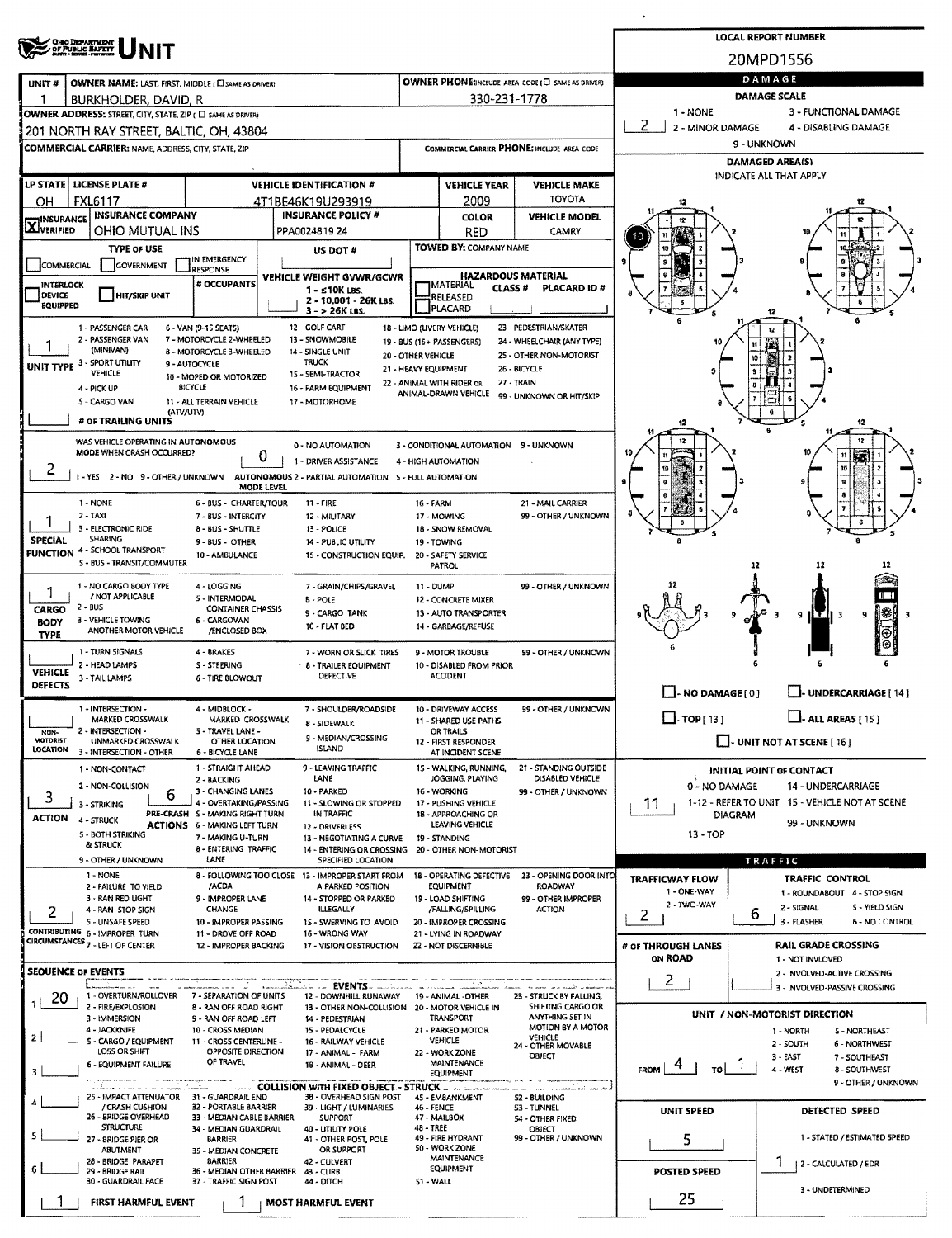|                                            | <b>OHO DEPARTMENT</b><br>OF PUBLIC BAPETY                                                                                                         |                                                                                                                                                                        |                                                                                                                                     |                                                                                                                                                            |                                                                                                                                           |                                                                 | <b>LOCAL REPORT NUMBER</b>                                                                  |  |  |  |  |
|--------------------------------------------|---------------------------------------------------------------------------------------------------------------------------------------------------|------------------------------------------------------------------------------------------------------------------------------------------------------------------------|-------------------------------------------------------------------------------------------------------------------------------------|------------------------------------------------------------------------------------------------------------------------------------------------------------|-------------------------------------------------------------------------------------------------------------------------------------------|-----------------------------------------------------------------|---------------------------------------------------------------------------------------------|--|--|--|--|
|                                            |                                                                                                                                                   |                                                                                                                                                                        |                                                                                                                                     |                                                                                                                                                            |                                                                                                                                           |                                                                 | 20MPD1556                                                                                   |  |  |  |  |
| UNIT#                                      | <b>OWNER NAME: LAST, FIRST, MIDDLE (CI SAME AS DRIVER)</b>                                                                                        |                                                                                                                                                                        |                                                                                                                                     |                                                                                                                                                            | OWNER PHONE: INCLUDE AREA CODE (E) SAME AS DRIVER)                                                                                        | DAMAGE<br><b>DAMAGE SCALE</b>                                   |                                                                                             |  |  |  |  |
|                                            | BURKHOLDER, DAVID, R<br>OWNER ADDRESS: STREET, CITY, STATE, ZIP ( C) SAME AS DRIVER)                                                              |                                                                                                                                                                        |                                                                                                                                     |                                                                                                                                                            | 330-231-1778                                                                                                                              | 1 - NONE                                                        | 3 - FUNCTIONAL DAMAGE                                                                       |  |  |  |  |
|                                            | 201 NORTH RAY STREET, BALTIC, OH, 43804                                                                                                           |                                                                                                                                                                        |                                                                                                                                     |                                                                                                                                                            |                                                                                                                                           | 2<br>2 - MINOR DAMAGE                                           | 4 - DISABLING DAMAGE                                                                        |  |  |  |  |
|                                            | <b>COMMERCIAL CARRIER: NAME, ADDRESS, CITY, STATE, 2IP</b>                                                                                        |                                                                                                                                                                        |                                                                                                                                     |                                                                                                                                                            | COMMERCIAL CARRIER PHONE: INCLUDE AREA CODE                                                                                               | 9 - UNKNOWN                                                     |                                                                                             |  |  |  |  |
|                                            |                                                                                                                                                   |                                                                                                                                                                        |                                                                                                                                     |                                                                                                                                                            |                                                                                                                                           | <b>DAMAGED AREA(S)</b><br>INDICATE ALL THAT APPLY               |                                                                                             |  |  |  |  |
| OН                                         | LP STATE   LICENSE PLATE #<br><b>FXL6117</b>                                                                                                      |                                                                                                                                                                        | <b>VEHICLE IDENTIFICATION #</b><br>4T1BE46K19U293919                                                                                | <b>VEHICLE YEAR</b><br>2009                                                                                                                                | <b>VEHICLE MAKE</b><br><b>TOYOTA</b>                                                                                                      |                                                                 | 12                                                                                          |  |  |  |  |
| <b>INSURANCE</b>                           | <b>INSURANCE COMPANY</b>                                                                                                                          |                                                                                                                                                                        | <b>INSURANCE POLICY #</b>                                                                                                           | <b>COLOR</b>                                                                                                                                               | <b>VEHICLE MODEL</b>                                                                                                                      |                                                                 |                                                                                             |  |  |  |  |
| <b>X</b> VERIFIED                          | OHIO MUTUAL INS<br><b>TYPE OF USE</b>                                                                                                             |                                                                                                                                                                        | PPA0024819 24                                                                                                                       | RED<br><b>TOWED BY: COMPANY NAME</b>                                                                                                                       | CAMRY                                                                                                                                     |                                                                 |                                                                                             |  |  |  |  |
| <b>COMMERCIAL</b>                          | <b>GOVERNMENT</b>                                                                                                                                 | IN EMERGENCY<br><b>RESPONSE</b>                                                                                                                                        | US DOT #                                                                                                                            |                                                                                                                                                            |                                                                                                                                           |                                                                 |                                                                                             |  |  |  |  |
| <b>INTERLOCK</b><br>DEVICE<br>EQUIPPED     | <b>HIT/SKIP UNIT</b>                                                                                                                              | # OCCUPANTS                                                                                                                                                            | VEHICLE WEIGHT GVWR/GCWR<br>$1 - s10K$ LBS.<br>2 - 10,001 - 26K LBS.<br>$3 - 26K$ LBS.                                              | <b>IMATERIAL</b><br>RELEASED<br>PLACARD                                                                                                                    | <b>HAZARDOUS MATERIAL</b><br><b>CLASS#</b><br>PLACARD ID#                                                                                 |                                                                 |                                                                                             |  |  |  |  |
|                                            | 1 - PASSENGER CAR<br>2 - PASSENGER VAN<br>(MINIVAN)<br>UNIT TYPE 3 - SPORT UTILITY<br><b>VEHICLE</b><br>4 - PICK UP<br>5 - CARGO VAN<br>(ATV/UTV) | 6 - VAN (9-15 SEATS)<br>7 - MOTORCYCLE 2-WHEELED<br>8 - MOTORCYCLE 3-WHEELED<br>9 - AUTOCYCLE<br>10 - MOPED OR MOTORIZED<br><b>BICYCLE</b><br>11 - ALL TERRAIN VEHICLE | 12 - GOLF CART<br>13 - SNOWMOBILE<br>14 - SINGLE UNIT<br><b>TRUCK</b><br>15 - SEMI-TRACTOR<br>16 - FARM EQUIPMENT<br>17 - MOTORHOME | 18 - LIMO (LIVERY VEHICLE)<br>19 - BUS (16+ PASSENGERS)<br>20 - OTHER VEHICLE<br>21 - HEAVY EQUIPMENT<br>22 - ANIMAL WITH RIDER OR<br>ANIMAL-DRAWN VEHICLE | 23 - PEDESTRIAN/SKATER<br>24 - WHEELCHAIR (ANY TYPE)<br>25 - OTHER NON-MOTORIST<br>26 - BICYCLE<br>27 - TRAIN<br>99 - UNKNOWN OR HIT/SKIP |                                                                 |                                                                                             |  |  |  |  |
|                                            | # OF TRAILING UNITS                                                                                                                               |                                                                                                                                                                        |                                                                                                                                     |                                                                                                                                                            |                                                                                                                                           | 12                                                              | 12                                                                                          |  |  |  |  |
|                                            | WAS VEHICLE OPERATING IN AUTONOMOUS<br>MODE WHEN CRASH OCCURRED?<br>1-YES 2-NO 9-OTHER/UNKNOWN                                                    | 0<br>MODE LEVEL                                                                                                                                                        | 0 - NO AUTOMATION<br>1 - DRIVER ASSISTANCE<br>AUTONOMOUS 2 - PARTIAL AUTOMATION 5 - FULL AUTOMATION                                 | 4 - HIGH AUTOMATION                                                                                                                                        | 3 - CONDITIONAL AUTOMATION 9 - UNKNOWN                                                                                                    |                                                                 |                                                                                             |  |  |  |  |
| <b>SPECIAL</b>                             | 1 - NONE<br>2 - TAXI<br>3 - ELECTRONIC RIDE<br><b>SHARING</b><br><b>FUNCTION 4 - SCHOOL TRANSPORT</b><br>S - BUS - TRANSIT/COMMUTER               | 6 - BUS - CHARTER/TOUR<br>7 - BUS - INTERCITY<br>8 - BUS - SHUTTLE<br>9 - BUS - OTHER<br>10 - AMBULANCE                                                                | $11 - FIRE$<br>12 - MILITARY<br>13 - POLICE<br><b>14 - PUBLIC UTILITY</b><br>15 - CONSTRUCTION EQUIP.                               | <b>16 - FARM</b><br>17 - MOWING<br>18 - SNOW REMOVAL<br>19 - TOWING<br>20 - SAFETY SERVICE<br>PATROL                                                       | 21 - MAIL CARRIER<br>99 - OTHER / UNKNOWN                                                                                                 |                                                                 | 12                                                                                          |  |  |  |  |
| ٦<br>CARGO<br><b>BODY</b><br><b>TYPE</b>   | 1 - NO CARGO BODY TYPE<br>/ NOT APPLICABLE<br>2 - BUS<br>3 - VEHICLE TOWING<br>ANOTHER MOTOR VEHICLE                                              | 4 - LOGGING<br>5 - INTERMODAL<br><b>CONTAINER CHASSIS</b><br>6 - CARGOVAN<br>/ENCLOSED BOX                                                                             | 7 - GRAIN/CHIPS/GRAVEL<br><b>B-POLE</b><br>9 - CARGO TANK<br>10 - FLAT BED                                                          | 11 - DUMP<br>12 - CONCRETE MIXER<br>13 - AUTO TRANSPORTER<br>14 - GARBAGE/REFUSE                                                                           | 99 - OTHER / UNKNOWN                                                                                                                      |                                                                 | 卷<br>9<br>9<br>-3                                                                           |  |  |  |  |
| <b>VEHICLE</b><br><b>DEFECTS</b>           | 1 - TURN SIGNALS<br>2 - HEAD LAMPS<br>3 - TAIL LAMPS                                                                                              | 4 - BRAKES<br>S - STEERING<br>6 - TIRE BLOWOUT                                                                                                                         | 7 - WORN OR SLICK TIRES<br>8 - TRAILER EQUIPMENT<br><b>DEFECTIVE</b>                                                                | 9 - MOTOR TROUBLE<br>10 - DISABLED FROM PRIOR<br><b>ACCIDENT</b>                                                                                           | 99 - OTHER / UNKNOWN                                                                                                                      |                                                                 |                                                                                             |  |  |  |  |
|                                            | - INTERSECTION -                                                                                                                                  | 4 - MIUBLULK -                                                                                                                                                         | 7 - SHOULDER/ROADSIDE                                                                                                               | 10 - DRIVEWAY ACCESS                                                                                                                                       | <b>99 - OTHER / UNKNOWN</b>                                                                                                               | $\Box$ - NO DAMAGE $[0]$                                        | LI- UNDERCARRIAGE [ 14 ]                                                                    |  |  |  |  |
| NON-<br><b>MOTORIST</b><br><b>LOCATION</b> | MARKED CROSSWALK<br>2 - INTERSECTION -<br>UNMARKED CROSSWALK<br>3 - INTERSECTION - OTHER                                                          | MARKED CROSSWALK<br>5 - TRAVEL LANE -<br>OTHER LOCATION<br>6 - BICYCLE LANE                                                                                            | 8 - SIDEWALK<br>9 - MEDIAN/CROSSING<br>ISLAND                                                                                       | 11 - SHARED USE PATHS<br>OR TRAILS<br>12 - FIRST RESPONDER<br>AT INCIDENT SCENE                                                                            |                                                                                                                                           | $\Box$ -TOP[13]                                                 | $\Box$ - ALL AREAS [ 15 ]<br>$\Box$ - UNIT NOT AT SCENE [ 16 ]                              |  |  |  |  |
| 3                                          | 1 - NON-CONTACT<br>2 - NON-COLLISION<br>6                                                                                                         | 1 - STRAIGHT AHEAD<br>2 - BACKING<br>3 - CHANGING LANES                                                                                                                | 9 - LEAVING TRAFFIC<br>LANE<br>10 - PARKED                                                                                          | 15 - WALKING, RUNNING,<br>JOGGING, PLAYING<br>16 - WORKING                                                                                                 | 21 - STANDING OUTSIDE<br>DISABLED VEHICLE<br>99 - OTHER / UNKNOWN                                                                         | INITIAL POINT OF CONTACT<br>0 - NO DAMAGE<br>14 - UNDERCARRIAGE |                                                                                             |  |  |  |  |
| <b>ACTION</b>                              | 3 - STRIKING<br>4 - STRUCK<br>5 - BOTH STRIKING                                                                                                   | 4 - OVERTAKING/PASSING<br>PRE-CRASH 5 - MAKING RIGHT TURN<br><b>ACTIONS 6 - MAKING LEFT TURN</b><br>7 - MAKING U-TURN                                                  | 11 - SLOWING OR STOPPED<br>IN TRAFFIC<br>12 - DRIVERLESS<br>13 - NEGOTIATING A CURVE                                                | 17 - PUSHING VEHICLE<br>1B - APPROACHING OR<br>LEAVING VEHICLE<br>19 - STANDING                                                                            |                                                                                                                                           | 11<br>$13 - TOP$                                                | 1-12 - REFER TO UNIT 15 - VEHICLE NOT AT SCENE<br>DIAGRAM<br>99 - UNKNOWN                   |  |  |  |  |
|                                            | & STRUCK<br>9 - OTHER / UNKNOWN                                                                                                                   | <b>8 - ENTERING TRAFFIC</b><br>LANE                                                                                                                                    | 14 - ENTERING OR CROSSING<br>SPECIFIED LOCATION                                                                                     | 20 - OTHER NON-MOTORIST                                                                                                                                    |                                                                                                                                           |                                                                 | <b>TRAFFIC</b>                                                                              |  |  |  |  |
| 2                                          | 1 - NONE<br>2 - FAILURE TO YIELD<br>3 - RAN RED LIGHT<br>4 - RAN STOP SIGN                                                                        | /ACDA<br>9 - IMPROPER LANE<br><b>CHANGE</b>                                                                                                                            | 8 - FOLLOWING TOO CLOSE 13 - IMPROPER START FROM<br>A PARKED POSITION<br>14 - STOPPED OR PARKED<br><b>ILLEGALLY</b>                 | 18 - OPERATING DEFECTIVE<br><b>EQUIPMENT</b><br>19 - LOAD SHIFTING<br>/FALLING/SPILLING                                                                    | 23 - OPENING DOOR INTO<br><b>ROADWAY</b><br>99 - OTHER IMPROPER<br><b>ACTION</b>                                                          | <b>TRAFFICWAY FLOW</b><br>1 - ONE-WAY<br>2 - TWO-WAY            | <b>TRAFFIC CONTROL</b><br>1 - ROUNDABOUT 4 - STOP SIGN<br>2 - SIGNAL<br>5 - YIELD SIGN<br>6 |  |  |  |  |
|                                            | 5 - UNSAFE SPEED<br>CONTRIBUTING 6 - IMPROPER TURN                                                                                                | 10 - IMPROPER PASSING<br>11 - DROVE OFF ROAD                                                                                                                           | 15 - SWERVING TO AVOID<br>16 - WRONG WAY                                                                                            | 20 - IMPROPER CROSSING<br>21 - LYING IN ROADWAY                                                                                                            |                                                                                                                                           | 2                                                               | 3 - FLASHER<br>6 - NO CONTROL                                                               |  |  |  |  |
|                                            | CIRCUMSTANCES <sub>7</sub> - LEFT OF CENTER                                                                                                       | 12 - IMPROPER BACKING                                                                                                                                                  | 17 - VISION OBSTRUCTION                                                                                                             | 22 - NOT DISCERNIBLE                                                                                                                                       |                                                                                                                                           | # OF THROUGH LANES<br><b>ON ROAD</b>                            | <b>RAIL GRADE CROSSING</b>                                                                  |  |  |  |  |
| <b>SEQUENCE OF EVENTS</b>                  |                                                                                                                                                   | mana a manaza                                                                                                                                                          |                                                                                                                                     |                                                                                                                                                            |                                                                                                                                           | $\mathbf{2}$                                                    | 1 - NOT INVLOVED<br>2 - INVOLVED-ACTIVE CROSSING<br>3 - INVOLVED-PASSIVE CROSSING           |  |  |  |  |
| 20                                         | 1 - OVERTURN/ROLLOVER 7 - SEPARATION OF UNITS<br>2 - FIRE/EXPLOSION<br>3 - IMMERSION<br>4 - JACKKNIFE                                             | 8 - RAN OFF ROAD RIGHT<br>9 - RAN OFF ROAD LEFT<br>10 - CROSS MEDIAN                                                                                                   | 12 - DOWNHILL RUNAWAY<br>13 - OTHER NON-COLLISION 20 - MOTOR VEHICLE IN<br>14 PEDESTRIAN<br>15 - PEDALCYCLE                         | 19 - ANIMAL - OTHER<br>TRANSPORT<br>21 - PARKED MOTOR                                                                                                      | 23 - STRUCK BY FALLING,<br>SHIFTING CARGO OR<br>ANYTHING SET IN<br>MOTION BY A MOTOR<br><b>VEHICLE</b>                                    |                                                                 | UNIT / NON-MOTORIST DIRECTION<br>1 - NORTH<br>S - NORTHEAST                                 |  |  |  |  |
| 2<br>3                                     | 5 - CARGO / EQUIPMENT<br>LOSS OR SHIFT<br>6 - EQUIPMENT FAILURE                                                                                   | 11 - CROSS CENTERLINE -<br>OPPOSITE DIRECTION<br>OF TRAVEL                                                                                                             | 16 - RAILWAY VEHICLE<br>17 - ANIMAL - FARM<br>18 - ANIMAL - DEER                                                                    | VEHICLE<br>22 - WORK ZONE<br>MAINTENANCE<br>EQUIPMENT                                                                                                      | 24 - OTHER MOVABLE<br><b>OBJECT</b>                                                                                                       | TO<br><b>FROM</b>                                               | 2 - SOUTH<br>6 - NORTHWEST<br>3 - EAST<br>7 - SOUTHEAST<br>4 - WEST<br>8 - SOUTHWEST        |  |  |  |  |
|                                            | 25 - IMPACT ATTENUATOR 31 - GUARDRAIL END<br>/ CRASH CUSHION<br>26 - BRIDGE OVERHEAD                                                              | 32 - PORTABLE BARRIER<br>33 - MEDIAN CABLE BARRIER                                                                                                                     | COLLISION.WITH.FIXED OBJECT - STRUCK<br>38 - OVERHEAD SIGN POST<br>39 - LIGHT / LUMINARIES<br><b>SUPPORT</b>                        | 45 - EMBANKMENT<br>46 - FENCE<br>47 - MAILBOX                                                                                                              | ana meny componista mandri<br>52 - BUILDING<br><b>S3 - TUNNEL</b><br>54 - OTHER FIXED                                                     | UNIT SPEED                                                      | 9 - OTHER / UNKNOWN<br>DETECTED SPEED                                                       |  |  |  |  |
| s                                          | <b>STRUCTURE</b><br>27 - 8RIDGE PIER OR<br><b>ABUTMENT</b><br>28 - BRIDGE PARAPET                                                                 | 34 - MEDIAN GUARDRAIL<br><b>BARRIER</b><br>35 - MEDIAN CONCRETE<br><b>BARRIER</b>                                                                                      | 40 - UTILITY POLE<br>41 - OTHER POST, POLE<br>OR SUPPORT<br>42 - CULVERT                                                            | 48 - TREE<br>49 - FIRE HYDRANT<br>50 - WORK ZONE<br>MAINTENANCE                                                                                            | OBJECT<br>99 - OTHER / UNKNOWN                                                                                                            | 5                                                               | 1 - STATED / ESTIMATED SPEED                                                                |  |  |  |  |
| 6                                          | 29 - BRIDGE RAIL<br>30 - GUARDRAIL FACE<br><b>FIRST HARMFUL EVENT</b>                                                                             | 36 - MEDIAN OTHER BARRIER<br>37 - TRAFFIC SIGN POST                                                                                                                    | 43 - CURB<br>44 - DITCH<br><b>MOST HARMFUL EVENT</b>                                                                                | EQUIPMENT<br>51 - WALL                                                                                                                                     |                                                                                                                                           | <b>POSTED SPEED</b><br>25                                       | 2 - CALCULATED / EDR<br>3 - UNDETERMINED                                                    |  |  |  |  |
|                                            |                                                                                                                                                   |                                                                                                                                                                        |                                                                                                                                     |                                                                                                                                                            |                                                                                                                                           |                                                                 |                                                                                             |  |  |  |  |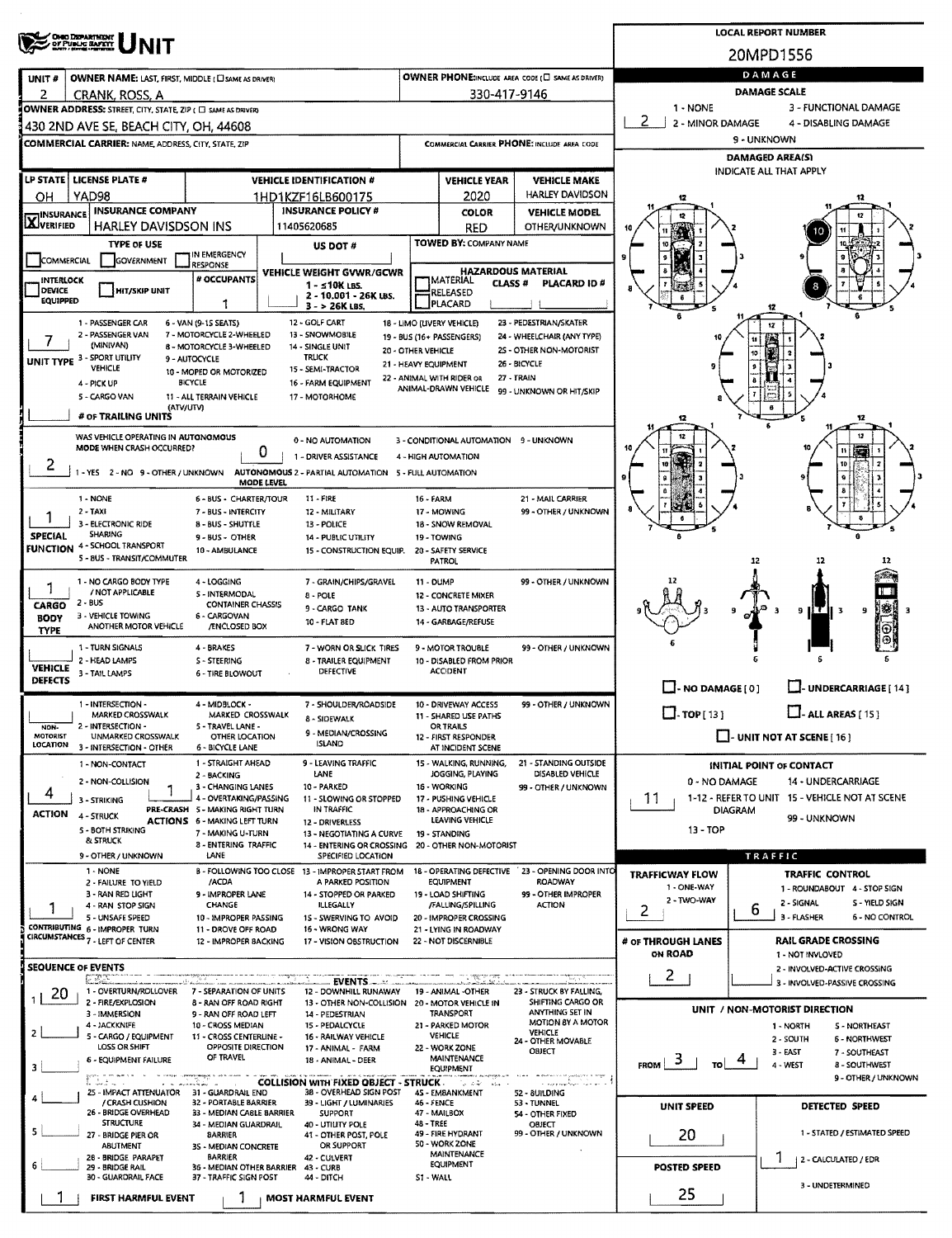|                                   | <b>OHIO DISPARTMENT</b><br>OF PUBLIC BAFETT                                                         |                                                           |                                                                         |                                            |                                                 |                                                                                               |                                                            | <b>LOCAL REPORT NUMBER</b>                             |  |  |  |  |
|-----------------------------------|-----------------------------------------------------------------------------------------------------|-----------------------------------------------------------|-------------------------------------------------------------------------|--------------------------------------------|-------------------------------------------------|-----------------------------------------------------------------------------------------------|------------------------------------------------------------|--------------------------------------------------------|--|--|--|--|
|                                   |                                                                                                     |                                                           |                                                                         |                                            |                                                 |                                                                                               |                                                            | 20MPD1556                                              |  |  |  |  |
| UNIT#                             | <b>OWNER NAME: LAST, FIRST, MIDDLE (CI SAME AS DRIVER)</b>                                          |                                                           | DAMAGE                                                                  |                                            |                                                 |                                                                                               |                                                            |                                                        |  |  |  |  |
| 2                                 | CRANK, ROSS, A                                                                                      |                                                           |                                                                         |                                            | 330-417-9146                                    |                                                                                               | <b>DAMAGE SCALE</b><br>$1 - NONE$<br>3 - FUNCTIONAL DAMAGE |                                                        |  |  |  |  |
|                                   | OWNER ADDRESS: STREET, CITY, STATE, ZIP ( $\Box$ same as driver)                                    |                                                           |                                                                         |                                            |                                                 |                                                                                               | 2<br>2 - MINOR DAMAGE                                      | 4 - DISABLING DAMAGE                                   |  |  |  |  |
|                                   | 430 2ND AVE SE, BEACH CITY, OH, 44608<br><b>COMMERCIAL CARRIER: NAME, ADDRESS, CITY, STATE, ZIP</b> |                                                           |                                                                         |                                            |                                                 | COMMERCIAL CARRIER PHONE: INCLUDE AREA CODE                                                   | 9 - UNKNOWN                                                |                                                        |  |  |  |  |
|                                   |                                                                                                     |                                                           |                                                                         |                                            |                                                 |                                                                                               | DAMAGED AREA(S)                                            |                                                        |  |  |  |  |
|                                   | LP STATE   LICENSE PLATE #                                                                          |                                                           | <b>VEHICLE IDENTIFICATION #</b>                                         |                                            | <b>VEHICLE YEAR</b>                             | <b>VEHICLE MAKE</b>                                                                           | <b>INDICATE ALL THAT APPLY</b>                             |                                                        |  |  |  |  |
| OН                                | YAD98                                                                                               |                                                           | 1HD1KZF16LB600175                                                       |                                            | 2020                                            | HARLEY DAVIDSON                                                                               | 12                                                         |                                                        |  |  |  |  |
| <b>THINSURANCE</b><br>LAJVERIFIED | <b>INSURANCE COMPANY</b>                                                                            |                                                           | <b>INSURANCE POLICY #</b>                                               |                                            | <b>COLOR</b>                                    | <b>VEHICLE MODEL</b>                                                                          |                                                            |                                                        |  |  |  |  |
|                                   | <b>HARLEY DAVISDSON INS</b><br><b>TYPE OF USE</b>                                                   |                                                           | 11405620685<br>US DOT #                                                 |                                            | <b>RED</b><br>TOWED BY: COMPANY NAME            | <b>OTHER/UNKNOWN</b>                                                                          |                                                            |                                                        |  |  |  |  |
| COMMERCIAL                        | <b>GOVERNMENT</b>                                                                                   | IN EMERGENCY<br><b>RESPONSE</b>                           |                                                                         |                                            |                                                 |                                                                                               |                                                            |                                                        |  |  |  |  |
| INTERLOCK                         |                                                                                                     | # OCCUPANTS                                               | <b>VEHICLE WEIGHT GVWR/GCWR</b><br>$1 - 510K$ LBS.                      |                                            | <b>IMATERIAL</b>                                | <b>HAZARDOUS MATERIAL</b><br>CLASS #<br><b>PLACARD ID#</b>                                    |                                                            |                                                        |  |  |  |  |
| DEVICE<br><b>EQUIPPED</b>         | <b>HIT/SKIP UNIT</b>                                                                                | 1                                                         | 2 - 10.001 - 26K LBS.                                                   |                                            | RELEASED<br>PLACARD                             |                                                                                               |                                                            |                                                        |  |  |  |  |
|                                   | 1 - PASSENGER CAR                                                                                   | 6 - VAN (9-15 SEATS)                                      | $3 - 26K$ LBS,<br>12 - GOLF CART                                        | 18 - LIMO (LIVERY VEHICLE)                 |                                                 | 23 - PEDESTRIAN/SKATER                                                                        |                                                            | 12<br>12                                               |  |  |  |  |
|                                   | 2 - PASSENGER VAN<br>(MINIVAN)                                                                      | 7 - MOTORCYCLE 2-WHEELED<br>8 - MOTORCYCLE 3-WHEELED      | 13 - SNOWMOBILE<br>14 - SINGLE UNIT                                     | 19 - BUS (16+ PASSENGERS)                  |                                                 | 24 - WHEELCHAIR (ANY TYPE)                                                                    |                                                            |                                                        |  |  |  |  |
|                                   | UNIT TYPE 3 - SPORT UTILITY                                                                         | 9 - AUTOCYCLE                                             | <b>TRUCK</b>                                                            | 20 - OTHER VEHICLE<br>21 - HEAVY EQUIPMENT |                                                 | 2S - OTHER NON-MOTORIST<br>26 - BICYCLE                                                       |                                                            |                                                        |  |  |  |  |
|                                   | <b>VEHICLE</b><br>4 - PICK UP                                                                       | 10 - MOPED OR MOTORIZED<br><b>BICYCLE</b>                 | 15 - SEMI-TRACTOR<br>16 - FARM EQUIPMENT                                | 22 - ANIMAL WITH RIDER OR                  |                                                 | 27 - TRAIN                                                                                    |                                                            |                                                        |  |  |  |  |
|                                   | 5 - CARGO VAN                                                                                       | 11 - ALL TERRAIN VEHICLE                                  | 17 - MOTORHOME                                                          |                                            | ANIMAL-DRAWN VEHICLE                            | 99 - UNKNOWN OR HIT/SKIP                                                                      |                                                            |                                                        |  |  |  |  |
|                                   | (ATV/UTV)<br># OF TRAILING UNITS                                                                    |                                                           |                                                                         |                                            |                                                 |                                                                                               |                                                            | 12                                                     |  |  |  |  |
|                                   | WAS VEHICLE OPERATING IN AUTONOMOUS<br>MODE WHEN CRASH OCCURRED?                                    |                                                           | 0 - NO AUTOMATION                                                       |                                            | 3 - CONDITIONAL AUTOMATION 9 - UNKNOWN          |                                                                                               |                                                            |                                                        |  |  |  |  |
| 2                                 |                                                                                                     |                                                           | 0<br>1 - DRIVER ASSISTANCE                                              |                                            | 4 - HIGH AUTOMATION                             |                                                                                               |                                                            |                                                        |  |  |  |  |
|                                   | -YES 2-NO 9-OTHER/UNKNOWN                                                                           |                                                           | AUTONOMOUS 2 - PARTIAL AUTOMATION 5 - FULL AUTOMATION<br>MODE LEVEL     |                                            |                                                 |                                                                                               |                                                            |                                                        |  |  |  |  |
|                                   | 1 - NONE                                                                                            | 6 - BUS - CHARTER/TOUR                                    | <b>11 - FIRE</b>                                                        | 16 - FARM                                  |                                                 | 21 - MAIL CARRIER                                                                             |                                                            |                                                        |  |  |  |  |
|                                   | $2 - TAXI$<br>3 - ELECTRONIC RIDE                                                                   | 7 - BUS - INTERCITY<br><b>B-BUS-SHUTTLE</b>               | 12 - MILITARY<br>13 - POLICE                                            |                                            | 17 - MOWING<br>18 - SNOW REMOVAL                | 99 - OTHER / UNKNOWN                                                                          |                                                            |                                                        |  |  |  |  |
| <b>SPECIAL</b>                    | <b>SHARING</b><br>4 - SCHOOL TRANSPORT                                                              | 9 - BUS - OTHER                                           | 14 - PUBLIC UTILITY                                                     |                                            | 19 - TOWING                                     |                                                                                               |                                                            |                                                        |  |  |  |  |
| <b>FUNCTION</b>                   | 5 - 8US - TRANSIT/COMMUTER                                                                          | 10 - AMBULANCE                                            | 15 - CONSTRUCTION EQUIP.                                                |                                            | 20 - SAFETY SERVICE<br>PATROL                   |                                                                                               |                                                            | 12<br>12                                               |  |  |  |  |
|                                   | 1 - NO CARGO BODY TYPE                                                                              | 4 - LOGGING                                               | 7 - GRAIN/CHIPS/GRAVEL                                                  | 11 - DUMP                                  |                                                 | 99 - OTHER / UNKNOWN                                                                          |                                                            |                                                        |  |  |  |  |
| CARGO                             | / NOT APPLICABLE<br>2 - BUS                                                                         | 5 - INTERMODAL<br><b>CONTAINER CHASSIS</b>                | 8 - POLE                                                                |                                            | 12 - CONCRETE MIXER                             |                                                                                               |                                                            |                                                        |  |  |  |  |
| <b>BODY</b>                       | 3 - VEHICLE TOWING<br>ANOTHER MOTOR VEHICLE                                                         | 6 - CARGOVAN<br>/ENCLOSED BOX                             | 9 - CARGO TANK<br>10 - FLAT 8ED                                         |                                            | 13 - AUTO TRANSPORTER<br>14 - GARBAGE/REFUSE    |                                                                                               |                                                            | IS.<br>9H<br>9<br>-3                                   |  |  |  |  |
| <b>TYPE</b>                       |                                                                                                     |                                                           |                                                                         |                                            |                                                 |                                                                                               |                                                            |                                                        |  |  |  |  |
|                                   | 1 - TURN SIGNALS<br>2 - HEAD LAMPS                                                                  | 4 - BRAKES<br>S - STEERING                                | 7 - WORN OR SLICK TIRES<br>8 - TRAILER EQUIPMENT                        |                                            | 9 - MOTOR TROUBLE<br>10 - DISABLED FROM PRIOR   | 99 - OTHER / UNKNOWN                                                                          |                                                            |                                                        |  |  |  |  |
| <b>VEHICLE</b><br><b>DEFECTS</b>  | 3 - TAIL LAMPS                                                                                      | <b>6 - TIRE BLOWOUT</b>                                   | DEFECTIVE                                                               |                                            | <b>ACCIDENT</b>                                 |                                                                                               | $\Box$ - NO DAMAGE [0]                                     | UNDERCARRIAGE [ 14 ]                                   |  |  |  |  |
|                                   | 1 - INTERSECTION -                                                                                  | 4 - MIDBLOCK -                                            | 7 - SHOULDER/ROADSIDE                                                   |                                            | 10 - DRIVEWAY ACCESS                            | 99 - OTHER / UNKNOWN                                                                          |                                                            |                                                        |  |  |  |  |
| NON-                              | MARKED CROSSWALK<br>2 - INTERSECTION -                                                              | MARKED CROSSWALK<br>5 - TRAVEL LANE -                     | 8 - SIDEWALK                                                            |                                            | 11 - SHARED USE PATHS<br>OR TRAILS              |                                                                                               | $\square$ - TOP[13]                                        | $\Box$ - ALL AREAS [15]                                |  |  |  |  |
| <b>MOTORIST</b><br>LOCATION       | UNMARKED CROSSWALK<br>3 - INTERSECTION - OTHER                                                      | OTHER LOCATION<br>6 - BICYCLE LANE                        | 9 - MEDIAN/CROSSING<br><b>ISLAND</b>                                    |                                            | 12 - FIRST RESPONDER<br>AT INCIDENT SCENE       |                                                                                               | $\Box$ - UNIT NOT AT SCENE [16]                            |                                                        |  |  |  |  |
|                                   | 1 - NON-CONTACT                                                                                     | 1 - STRAIGHT AHEAD                                        | 9 - LEAVING TRAFFIC                                                     |                                            | 15 - WALKING, RUNNING,                          | 21 - STANDING OUTSIDE                                                                         |                                                            | INITIAL POINT OF CONTACT                               |  |  |  |  |
|                                   | 2 - NON-COLLISION                                                                                   | 2 - BACKING<br>3 - CHANGING LANES                         | LANE<br>10 - PARKED                                                     |                                            | JOGGING, PLAYING<br>16 - WORKING                | DISABLED VEHICLE<br>99 - OTHER / UNKNOWN                                                      | 0 - NO DAMAGE                                              | 14 - UNDERCARRIAGE                                     |  |  |  |  |
| 4                                 | 3 - STRIKING                                                                                        | 4 - OVERTAKING/PASSING<br>PRE-CRASH 5 - MAKING RIGHT TURN | 11 - SLOWING OR STOPPED<br>IN TRAFFIC                                   |                                            | 17 - PUSHING VEHICLE                            |                                                                                               | 11                                                         | 1-12 - REFER TO UNIT 15 - VEHICLE NOT AT SCENE         |  |  |  |  |
| <b>ACTION</b>                     | 4 - STRUCK                                                                                          | <b>ACTIONS 6 - MAKING LEFT TURN</b>                       | 12 - DRIVERLESS                                                         |                                            | 18 - APPROACHING OR<br>LEAVING VEHICLE          |                                                                                               |                                                            | DIAGRAM<br>99 - UNKNOWN                                |  |  |  |  |
|                                   | 5 - BOTH STRIKING<br>& STRUCK                                                                       | 7 - MAKING U-TURN<br>8 - ENTERING TRAFFIC                 | 13 - NEGOTIATING A CURVE<br><b>14 - ENTERING OR CROSSING</b>            |                                            | 19 - STANDING<br>20 - OTHER NON-MOTORIST        |                                                                                               | 13 - TOP                                                   |                                                        |  |  |  |  |
|                                   | 9 - OTHER / UNKNOWN                                                                                 | LANE                                                      | SPECIFIED LOCATION                                                      |                                            |                                                 | 23 - OPENING DOOR INTO                                                                        |                                                            | TRAFFIC                                                |  |  |  |  |
|                                   | 1 - NONE<br>2 - FAILURE TO YIELD                                                                    | /ACDA                                                     | B - FOLLOWING TOO CLOSE 13 - IMPROPER START FROM<br>A PARKED POSITION   |                                            | 18 - OPERATING DEFECTIVE<br>EQUIPMENT           | <b>ROADWAY</b>                                                                                | <b>TRAFFICWAY FLOW</b><br>1 - ONE-WAY                      | <b>TRAFFIC CONTROL</b><br>1 - ROUNDABOUT 4 - STOP SIGN |  |  |  |  |
|                                   | 3 - RAN RED UGHT<br>4 - RAN STOP SIGN                                                               | 9 - IMPROPER LANE<br><b>CHANGE</b>                        | 14 - STOPPED OR PARKED<br>ILLEGALLY                                     |                                            | 19 - LOAD SHIFTING<br>/FALLING/SPILLING         | 99 - OTHER IMPROPER<br><b>ACTION</b>                                                          | 2 - TWO-WAY                                                | S - YIELD SIGN<br>2 - SIGNAL<br>6                      |  |  |  |  |
|                                   | 5 - UNSAFE SPEED<br>CONTRIBUTING 6 - IMPROPER TURN                                                  | 10 - IMPROPER PASSING<br>11 - DROVE OFF ROAD              | 1S - SWERVING TO AVOID<br>16 - WRONG WAY                                |                                            | 20 - IMPROPER CROSSING<br>21 - LYING IN ROADWAY |                                                                                               | 2                                                          | 3 - FLASHER<br>6 - NO CONTROL                          |  |  |  |  |
|                                   | CIRCUMSTANCES 7 - LEFT OF CENTER                                                                    | 12 - IMPROPER BACKING                                     | 17 - VISION OBSTRUCTION                                                 |                                            | 22 - NOT DISCERNIBLE                            |                                                                                               | # OF THROUGH LANES                                         | <b>RAIL GRADE CROSSING</b>                             |  |  |  |  |
|                                   | <b>SEQUENCE OF EVENTS</b>                                                                           |                                                           |                                                                         |                                            |                                                 |                                                                                               | ON ROAD                                                    | 1 - NOT INVLOVED<br>2 - INVOLVED-ACTIVE CROSSING       |  |  |  |  |
|                                   | E SANT<br>1 - OVERTURN/ROLLOVER                                                                     |                                                           | EVENTS _______                                                          |                                            |                                                 |                                                                                               | $\overline{c}$                                             | 3 - INVOLVED-PASSIVE CROSSING                          |  |  |  |  |
| 20                                | 2 - FIRE/EXPLOSION                                                                                  | 7 - SEPARATION OF UNITS<br>8 - RAN OFF ROAD RIGHT         | 12 - DOWNHILL RUNAWAY<br>13 - OTHER NON-COLLISION 20 - MOTOR VEHICLE IN |                                            | 19 - ANIMAL -OTHER                              | 23 - STRUCK BY FALLING,<br>SHIFTING CARGO OR                                                  |                                                            | UNIT / NON-MOTORIST DIRECTION                          |  |  |  |  |
|                                   | 3 - IMMERSION<br>4 - JACKKNIFE                                                                      | 9 - RAN OFF ROAD LEFT<br>10 - CROSS MEDIAN                | 14 - PEDESTRIAN<br>15 - PEDALCYCLE                                      |                                            | TRANSPORT<br>21 - PARKED MOTOR                  | ANYTHING SET IN<br>MOTION 8Y A MOTOR                                                          |                                                            | 1 - NORTH<br><b>S-NORTHEAST</b>                        |  |  |  |  |
| 2.                                | 5 - CARGO / EQUIPMENT<br>LOSS OR SHIFT                                                              | 11 - CROSS CENTERLINE -<br>OPPOSITE DIRECTION             | <b>16 - RAILWAY VEHICLE</b><br>17 - ANIMAL - FARM                       |                                            | <b>VEHICLE</b><br>22 - WORK ZONE                | <b>VEHICLE</b><br>24 - OTHER MOVABLE<br><b>OBJECT</b>                                         |                                                            | 2 - SOUTH<br><b>6 - NORTHWEST</b>                      |  |  |  |  |
| з                                 | <b>6 - EQUIPMENT FAILURE</b>                                                                        | OF TRAVEL                                                 | 18 - ANIMAL - DEER                                                      |                                            | <b>MAINTENANCE</b><br><b>EQUIPMENT</b>          |                                                                                               | - 3<br><b>FROM</b><br>TO                                   | 3 - EAST<br>7 - SOUTHEAST<br>4 - WEST<br>8 - SOUTHWEST |  |  |  |  |
|                                   | 141                                                                                                 | a na manandigina ao amin'ny                               | <b>COLLISION WITH FIXED OBJECT - STRUCK.</b>                            |                                            | ್ಲಿ ನಿರ್ಧಿಸಲ                                    | entrannon es <sub>pre</sub> siguien a estagal<br>المحالمها والمتار وسيعالمهم والمهرور والمراد |                                                            | 9 - OTHER / UNKNOWN                                    |  |  |  |  |
|                                   | 25 - IMPACT ATTENUATOR<br>/ CRASH CUSHION                                                           | 31 - GUARDRAIL END<br>32 - PORTABLE BARRIER               | 38 - OVERHEAD SIGN POST<br>39 - LIGHT / LUMINARIES                      | 46 - FENCE                                 | 45 - EMBANKMENT                                 | 52 - 8UILDING<br>53 - TUNNEL                                                                  | <b>UNIT SPEED</b>                                          | DETECTED SPEED                                         |  |  |  |  |
| 5                                 | 26 - BRIDGE OVERHEAD<br><b>STRUCTURE</b>                                                            | 33 - MEDIAN CABLE BARRIER<br>34 - MEDIAN GUARDRAIL        | <b>SUPPORT</b><br>40 - UTILITY POLE                                     | 48 - TREE                                  | 47 - MAILBOX                                    | 54 - OTHER FIXED<br>OBJECT                                                                    |                                                            |                                                        |  |  |  |  |
|                                   | 27 - BRIDGE PIER OR<br>ABUTMENT                                                                     | <b>BARRIER</b><br>35 - MEDIAN CONCRETE                    | 41 - OTHER POST, POLE<br>OR SUPPORT                                     |                                            | 49 - FIRE HYDRANT<br>50 - WORK ZONE             | 99 - OTHER / UNKNOWN                                                                          | 20                                                         | 1 - STATED / ESTIMATED SPEED                           |  |  |  |  |
|                                   | 28 - BRIDGE PARAPET<br>29 - BRIDGE RAIL                                                             | <b>BARRIER</b><br>36 - MEDIAN OTHER BARRIER               | 42 - CULVERT<br>43 - CURB                                               |                                            | <b>MAINTENANCE</b><br>EQUIPMENT                 |                                                                                               | POSTED SPEED                                               | 2 - CALCULATED / EDR                                   |  |  |  |  |
|                                   | 30 - GUARDRAIL FACE                                                                                 | 37 - TRAFFIC SIGN POST                                    | 44 - DITCH                                                              | SI-WALL                                    |                                                 |                                                                                               |                                                            | 3 - UNDETERMINED                                       |  |  |  |  |
|                                   | FIRST HARMFUL EVENT                                                                                 |                                                           | <b>MOST HARMFUL EVENT</b>                                               |                                            |                                                 |                                                                                               | 25                                                         |                                                        |  |  |  |  |
|                                   |                                                                                                     |                                                           |                                                                         |                                            |                                                 |                                                                                               |                                                            |                                                        |  |  |  |  |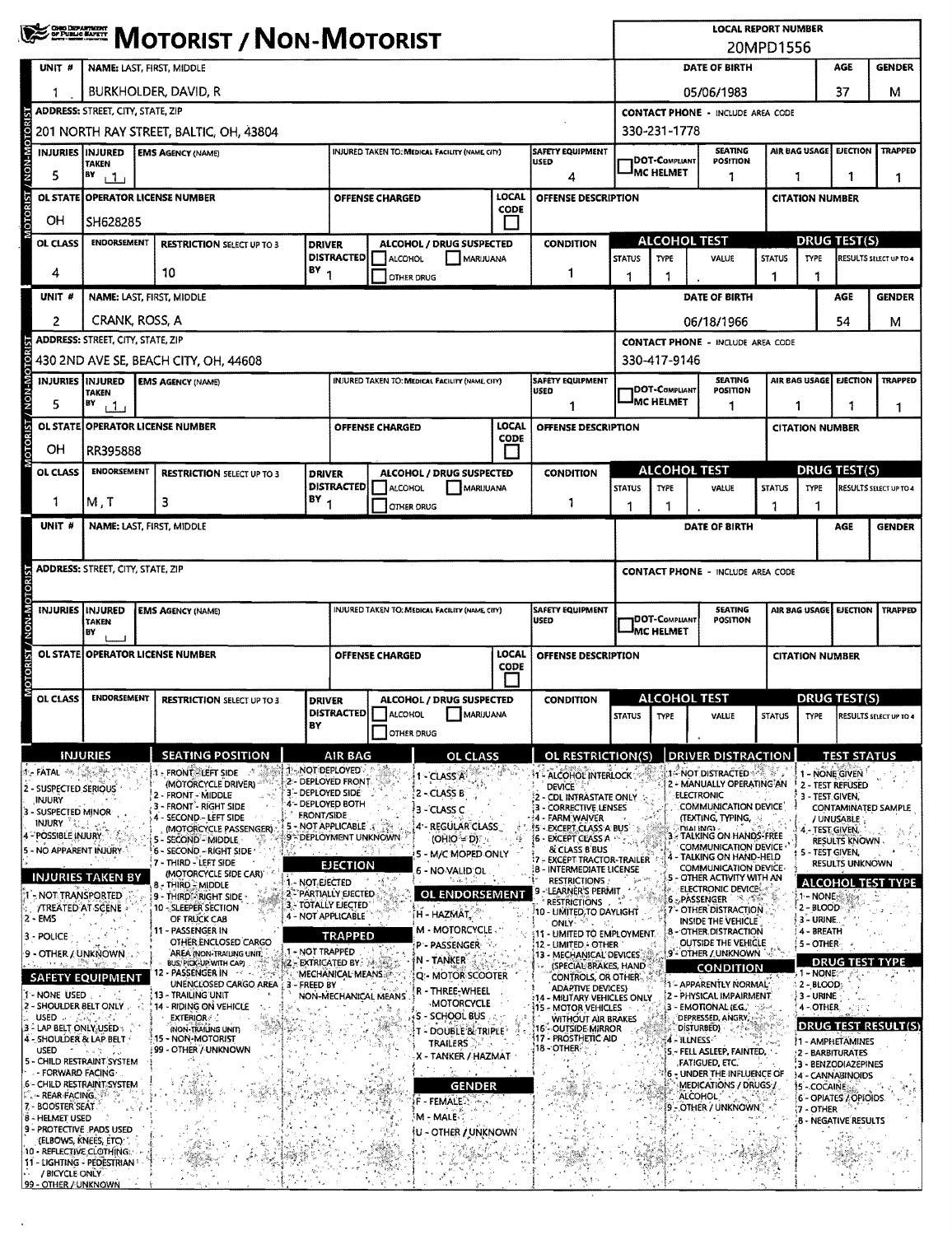|                                                     | <b>WE DESCRIPT / NON-MOTORIST</b>                                                  |                                                                                                   |                   |                                                         |                        |                                                 |                    |                                                                          | <b>LOCAL REPORT NUMBER</b><br>20MPD1556     |                                           |                                                                             |                        |                                                        |                                         |                                    |  |  |
|-----------------------------------------------------|------------------------------------------------------------------------------------|---------------------------------------------------------------------------------------------------|-------------------|---------------------------------------------------------|------------------------|-------------------------------------------------|--------------------|--------------------------------------------------------------------------|---------------------------------------------|-------------------------------------------|-----------------------------------------------------------------------------|------------------------|--------------------------------------------------------|-----------------------------------------|------------------------------------|--|--|
| UNIT #                                              | NAME: LAST, FIRST, MIDDLE                                                          |                                                                                                   |                   |                                                         |                        |                                                 |                    |                                                                          |                                             | DATE OF BIRTH<br>AGE<br><b>GENDER</b>     |                                                                             |                        |                                                        |                                         |                                    |  |  |
| 1                                                   | BURKHOLDER, DAVID, R                                                               |                                                                                                   |                   |                                                         |                        |                                                 |                    |                                                                          | 05/06/1983                                  |                                           |                                                                             |                        |                                                        | 37                                      | М                                  |  |  |
|                                                     | <b>ADDRESS: STREET, CITY, STATE, ZIP</b>                                           |                                                                                                   |                   |                                                         |                        |                                                 |                    |                                                                          |                                             | <b>CONTACT PHONE - INCLUDE AREA CODE</b>  |                                                                             |                        |                                                        |                                         |                                    |  |  |
| <b>NON-MOTORIST</b>                                 | 201 NORTH RAY STREET, BALTIC, OH, 43804                                            |                                                                                                   |                   |                                                         |                        |                                                 |                    |                                                                          |                                             |                                           | 330-231-1778                                                                |                        |                                                        |                                         |                                    |  |  |
| INJURIES INJURED                                    | <b>TAKEN</b>                                                                       | <b>EMS AGENCY (NAME)</b>                                                                          |                   |                                                         |                        | INJURED TAKEN TO: MEDICAL FACILITY (NAME CITY)  |                    | SAFETY EQUIPMENT<br><b>USED</b>                                          |                                             | DOT-Compliant                             | <b>SEATING</b><br><b>POSITION</b>                                           |                        | AIR BAG USAGE                                          | <b>EJECTION</b>                         | <b>TRAPPED</b>                     |  |  |
| 5                                                   | BY<br>111                                                                          |                                                                                                   |                   |                                                         |                        |                                                 |                    | 4                                                                        |                                             | <b>MC HELMET</b>                          | 1                                                                           | 1                      |                                                        | 1                                       | 1                                  |  |  |
|                                                     | LOCAL<br>OL STATE OPERATOR LICENSE NUMBER<br><b>OFFENSE CHARGED</b><br><b>CODE</b> |                                                                                                   |                   |                                                         |                        |                                                 |                    | OFFENSE DESCRIPTION                                                      |                                             |                                           |                                                                             |                        | <b>CITATION NUMBER</b>                                 |                                         |                                    |  |  |
| OН                                                  | SH628285                                                                           |                                                                                                   |                   |                                                         |                        |                                                 |                    |                                                                          | ALCOHOL TEST                                |                                           |                                                                             |                        | <b>DRUG TEST(S)</b>                                    |                                         |                                    |  |  |
| OL CLASS                                            | <b>ENDORSEMENT</b><br><b>RESTRICTION SELECT UP TO 3</b><br><b>DRIVER</b>           |                                                                                                   |                   | <b>DISTRACTED</b>                                       | ALCOHOL                | ALCOHOL / DRUG SUSPECTED<br>MARUUANA            |                    | <b>CONDITION</b>                                                         | <b>STATUS</b>                               | <b>TYPE</b><br>VALUE                      |                                                                             |                        | RESULTS SELECT UP TO 4<br><b>STATUS</b><br><b>TYPE</b> |                                         |                                    |  |  |
| 4                                                   | $BY$ <sub>1</sub><br>10                                                            |                                                                                                   |                   |                                                         |                        | OTHER DRUG                                      |                    | 1                                                                        | 1                                           | -1                                        |                                                                             |                        |                                                        |                                         |                                    |  |  |
| UNIT #                                              | NAME: LAST, FIRST, MIDDLE                                                          |                                                                                                   |                   |                                                         |                        |                                                 |                    |                                                                          |                                             | DATE OF BIRTH                             |                                                                             |                        | AGE                                                    | <b>GENDER</b>                           |                                    |  |  |
| 2                                                   | CRANK, ROSS, A                                                                     |                                                                                                   |                   |                                                         |                        |                                                 |                    |                                                                          |                                             |                                           | 06/18/1966                                                                  |                        |                                                        | 54                                      | м                                  |  |  |
|                                                     | <b>ADDRESS: STREET, CITY, STATE, ZIP</b>                                           | 430 2ND AVE SE, BEACH CITY, OH, 44608                                                             |                   |                                                         |                        |                                                 |                    |                                                                          |                                             | 330-417-9146                              | <b>CONTACT PHONE - INCLUDE AREA CODE</b>                                    |                        |                                                        |                                         |                                    |  |  |
|                                                     | <b>INJURIES INJURED</b>                                                            | <b>EMS AGENCY (NAME)</b>                                                                          |                   |                                                         |                        | INJURED TAKEN TO: MEDICAL FACILITY (NAME, CITY) |                    | <b>SAFETY EQUIPMENT</b>                                                  |                                             |                                           | <b>SEATING</b>                                                              |                        |                                                        | AIR BAG USAGE EJECTION                  | <b>TRAPPED</b>                     |  |  |
| <b>OTORIST / NON-M</b><br>5                         | <b>TAKEN</b><br>B٧<br>11                                                           |                                                                                                   |                   |                                                         |                        |                                                 |                    | USED<br>1                                                                |                                             | <b>DOT-COMPLIANT</b><br><b>IMC HELMET</b> | POSITION<br>1                                                               | 1                      |                                                        |                                         | 1                                  |  |  |
|                                                     |                                                                                    | OL STATE OPERATOR LICENSE NUMBER                                                                  |                   |                                                         | <b>OFFENSE CHARGED</b> |                                                 | <b>LOCAL</b>       | <b>OFFENSE DESCRIPTION</b>                                               |                                             |                                           |                                                                             | <b>CITATION NUMBER</b> |                                                        |                                         |                                    |  |  |
| ΟH                                                  | RR395888                                                                           |                                                                                                   |                   |                                                         |                        |                                                 | <b>CODE</b><br>l I |                                                                          |                                             |                                           |                                                                             |                        |                                                        |                                         |                                    |  |  |
| OL CLASS                                            | <b>ENDORSEMENT</b>                                                                 | <b>RESTRICTION SELECT UP TO 3</b>                                                                 | <b>DRIVER</b>     |                                                         |                        | ALCOHOL / DRUG SUSPECTED                        |                    | <b>CONDITION</b>                                                         |                                             |                                           | <b>ALCOHOL TEST</b>                                                         |                        |                                                        | <b>DRUG TEST(S)</b>                     |                                    |  |  |
| 1                                                   | M, T                                                                               | 3                                                                                                 | $BY_1$            | <b>DISTRACTED</b>                                       | <b>ALCOHOL</b>         | MARUUANA                                        |                    | 1                                                                        | <b>STATUS</b>                               | <b>TYPE</b>                               | <b>VALUE</b>                                                                | <b>STATUS</b>          | <b>TYPE</b><br>1                                       |                                         | RESULTS SELECT UP TO 4             |  |  |
| UNIT <sup>#</sup>                                   |                                                                                    | NAME: LAST, FIRST, MIDDLE                                                                         |                   | <b>OTHER DRUG</b>                                       |                        |                                                 |                    |                                                                          | 1<br>1<br>DATE OF BIRTH                     |                                           |                                                                             |                        |                                                        | AGE                                     | <b>GENDER</b>                      |  |  |
|                                                     |                                                                                    |                                                                                                   |                   |                                                         |                        |                                                 |                    |                                                                          |                                             |                                           |                                                                             |                        |                                                        |                                         |                                    |  |  |
|                                                     | <b>ADDRESS: STREET, CITY, STATE, ZIP</b>                                           |                                                                                                   |                   |                                                         |                        |                                                 |                    |                                                                          |                                             |                                           | <b>CONTACT PHONE - INCLUDE AREA CODE</b>                                    |                        |                                                        |                                         |                                    |  |  |
|                                                     |                                                                                    |                                                                                                   |                   |                                                         |                        |                                                 |                    |                                                                          |                                             |                                           |                                                                             |                        |                                                        |                                         |                                    |  |  |
| NON-MOTORIST<br><b>INJURIES</b>                     | <b>INJURED</b><br>TAKEN                                                            | <b>EMS AGENCY (NAME)</b>                                                                          |                   |                                                         |                        | INJURED TAKEN TO: MEDICAL FACILITY (NAME, CITY) |                    | <b>SAFETY EQUIPMENT</b><br><b>USED</b>                                   | <b>SLATING</b><br>DOT-COMPLIANT<br>POSITION |                                           |                                                                             |                        | AIR BAG USAGE                                          | EJECTION                                | <b>TRAPPED</b>                     |  |  |
|                                                     | B٢                                                                                 |                                                                                                   |                   |                                                         |                        |                                                 |                    | MC HELMET                                                                |                                             |                                           |                                                                             |                        |                                                        |                                         |                                    |  |  |
| MOTORIST                                            |                                                                                    | OL STATE OPERATOR LICENSE NUMBER                                                                  |                   | LOCAL<br>OFFENSE CHARGED<br>OFFENSE DESCRIPTION<br>CODE |                        |                                                 |                    |                                                                          |                                             |                                           |                                                                             | <b>CITATION NUMBER</b> |                                                        |                                         |                                    |  |  |
| OL CLASS                                            | <b>ENDORSEMENT</b>                                                                 | <b>RESTRICTION SELECT UP TO 3</b>                                                                 | <b>DRIVER</b>     |                                                         |                        | ALCOHOL / DRUG SUSPECTED                        |                    | <b>CONDITION</b>                                                         |                                             |                                           | <b>ALCOHOL TEST</b>                                                         |                        |                                                        | <b>DRUG TEST(S)</b>                     |                                    |  |  |
|                                                     |                                                                                    |                                                                                                   | BY                |                                                         |                        | <b>DISTRACTED ALCOHOL MARIJUANA</b>             |                    |                                                                          |                                             | STATUS   TYPE                             | VALUE                                                                       |                        |                                                        |                                         | STATUS TYPE RESULTS SELECT UP TO 4 |  |  |
|                                                     |                                                                                    |                                                                                                   |                   |                                                         |                        | <b>OTHER DRUG</b>                               |                    |                                                                          |                                             |                                           |                                                                             |                        |                                                        |                                         |                                    |  |  |
| ⋬∊℻ﯩﯩ୷୷∰∰∰                                          | <b>INJURIES</b>                                                                    | <b>SEATING POSITION</b><br><b>ANTI-NOT DEPLOYED</b><br>$1.5$ FRONT $\approx$ LEFT SIDE            |                   | <b>AIR BAG</b>                                          |                        | <b>OL CLASS</b><br>1 - CLASS A                  |                    | OL RESTRICTION(S)<br>11 - ALCOHOL INTERLOCK                              |                                             |                                           | <b>DRIVER DISTRACTION</b><br><b>1- NOT DISTRACTED AND WAY</b>               |                        |                                                        | <b>TEST STATUS</b><br>1 - NONE GIVEN    |                                    |  |  |
| 2 - SUSPECTED SERIOUS<br>INJURY                     |                                                                                    | (MOTORCYCLE DRIVER)<br>2 - FRONT - MIDDLE                                                         |                   | 2 - DEPLOYED FRONT<br>3-DEPLOYED SIDE                   |                        | 2 - CLASS B                                     |                    | <b>DEVICE</b><br>2 - CDL INTRASTATE ONLY                                 |                                             |                                           | 2 - MANUALLY OPERATING AN<br><b>ELECTRONIC</b>                              |                        | 3 - TEST GIVEN,                                        | 2 - TEST REFUSED                        |                                    |  |  |
| 3 - SUSPECTED MINOR<br>injury                       |                                                                                    | 3 - FRONT - RIGHT SIDE<br>- SECOND - LEFT SIDE                                                    | <b>ERONT/SIDE</b> | 4 - DEPLOYED BOTH<br>5 - NOT APPLICABLE 3               |                        | 3 - CLASS C<br>4 - REGULAR CLASS                |                    | - CORRECTIVE LENSES<br>- FARM WAIVER                                     |                                             |                                           | COMMUNICATION DEVICE<br>(TEXTING, TYPING,                                   |                        |                                                        | / UNUSABLE                              | <b>CONTAMINATED SAMPLE</b>         |  |  |
| 4 - POSSIBLE INJURY<br>NO APPARENT INJURY           |                                                                                    | (MOTORCYCLE PASSENGER)<br><b>5 - SECOND - MIDDLE</b><br>6 - SECOND - RIGHT SIDE                   |                   | 9 - DEPLOYMENT UNKNOWN                                  |                        | (OHIO = D)                                      |                    | 5 - EXCEPT, CLASS A BUS<br>16 - EXCEPT CLASS A<br>& CLASS B BUS          |                                             |                                           | DIALING)<br>TALKING ON HANDS-FREE<br>COMMUNICATION DEVICE                   |                        |                                                        | - TEST GIVEN.<br>RESULTS KNOWN.         |                                    |  |  |
|                                                     |                                                                                    | 7 - THIRD - LEFT SIDE<br>(MOTORCYCLE SIDE CAR)                                                    |                   | <b>EJECTION</b>                                         |                        | 5 - M/C MOPED ONLY<br>6 - NO VALID OL           |                    | - EXCÉPT TRACTOR-TRAILER<br><b>8 - INTERMEDIATE LICENSE</b>              |                                             |                                           | TALKING ON HAND-HELD<br>COMMUNICATION DEVICE-                               |                        | 5 - TEST GIVEN,                                        | <b>RESULTS UNKNOWN</b>                  |                                    |  |  |
| - NOT TRANSPORTED                                   | <b>INJURIES TAKEN BY</b>                                                           | 1 - NOT EJECTED<br>8 - THIRD - MIDDLE<br>9 - THIRD <sup>-S</sup> RIGHT SIDE                       |                   | 2-PARTIALLY EJECTED                                     |                        | OL ENDORSEMENT                                  |                    | <b>RESTRICTIONS</b><br>LEARNER'S PERMIT-                                 |                                             |                                           | - OTHER ACTIVITY WITH AN<br>ELECTRONIC DEVICE<br><b>6-PASSENGER</b> 3-186 B |                        | 1-NONE                                                 |                                         | <b>ALCOHOL TEST TYPE</b>           |  |  |
| <b>/TREATED AT SCENE</b><br>2 - EM5                 |                                                                                    | 10 - SLEEPER SECTION<br>OF TRUCK CAB                                                              |                   | 3 - TOTALLY EJECTED<br>4 - NOT APPLICABLE               |                        | Ή - ΗΑΖΜΑΤ, ΄                                   |                    | <b>RESTRICTIONS</b> .<br>10 - LIMITED TO DAYLIGHT<br>ONLY <b>CONCERT</b> |                                             |                                           | 7 - OTHER DISTRACTION<br>INSIDE THE VEHICLE                                 |                        | 2 - BLOOD<br>$3 - URINE$                               |                                         |                                    |  |  |
| 3 - POLICE                                          |                                                                                    | 11 - PASSENGER IN<br>OTHER ENCLOSED CARGO                                                         |                   | <b>TRAPPED</b>                                          |                        | M - MOTORCYCLE.<br>P - PASSENGER-               |                    | 11 - UMITED TO EMPLOYMENT.<br>12 - LIMITED - OTHER                       |                                             |                                           | 8 - OTHER DISTRACTION<br><b>OUTSIDE THE VEHICLE</b>                         |                        | 4 - BREATH<br>5 - OTHER-                               |                                         |                                    |  |  |
| 9 - OTHER / UNKNOWN                                 |                                                                                    | 1 - NOT TRAPPED<br>AREA (NON-TRAILING UNIT)<br><b>BUS, PICK-UP WITH CAP)</b><br>12 - PASSENGER IN |                   | <b>N2 - EXTRICATED BY:</b> A SALE:                      |                        | N - TANKER                                      |                    | 13 - MECHANICAL DEVICES<br>(SPECIAL SRAKES, HAND                         |                                             |                                           | <b>9'- OTHER / UNKNOWN</b><br>CONDITION                                     |                        |                                                        | <b>DRUG TEST</b>                        |                                    |  |  |
| 1 - NONE USED                                       | <b>SAFETY EQUIPMENT</b>                                                            | UNENCLOSED CARGO AREA : 3 - FREED BY<br>13 - TRAILING UNIT                                        |                   | MECHANICAL MEANS                                        | NON-MECHANICAL MEANS   | Q:- MOTOR SCOOTER<br>R - THREE-WHEEL            |                    | CONTROLS, OR OTHER.<br><b>ADAPTIVE DEVICES)</b>                          |                                             |                                           | 1 - APPARENTLY NORMAL<br>2 - PHYSICAL IMPAIRMENT                            |                        | 1 - NONE<br>$2 - BLOOD$<br>3 - URINE                   |                                         |                                    |  |  |
| 2 - SHOULDER BELT ONLY<br>USED A SACT               |                                                                                    | 14 - RIDING ON VEHICLE<br><b>EXTERIOR #</b>                                                       |                   |                                                         |                        | <b>MOTORCYCLE</b><br>S - SCHOOL BUS             |                    | 14 - MILITARY VEHICLES ONLY<br>15 - MOTOR VEHICLES<br>WITHOUT AIR BRAKES |                                             |                                           | 3 - EMOTIONAL (EG.)                                                         |                        | 4 - OTHER                                              |                                         |                                    |  |  |
| 3 - LAP BELT ONLY USED :<br>4 - SHOULDER & LAP BELT |                                                                                    | (NON-TRAILING UNIT)<br>15 - NON-MOTORIST                                                          |                   |                                                         |                        | T - DOUBLE & TRIPLE<br><b>TRAILERS</b>          |                    | 16 - OUTSIDE MIRROR<br>17 - PROSTHETIC AID                               |                                             |                                           | DISTURBED)<br>4 - ILLNESS                                                   |                        |                                                        | 11 - AMPHETAMINES                       | <b>DRUG TEST RESULT(S)</b>         |  |  |
| <b>USED</b><br>5 - CHILD RESTRAINT SYSTEM           | i til slete 10                                                                     | 99 - OTHER / UNKNOWN                                                                              |                   |                                                         |                        | X - TANKER / HAZMAT                             |                    | 18 - OTHER                                                               |                                             |                                           | 5 - FELL ASLEEP, FAINTED,<br>,FATIGUED, ETC.                                |                        |                                                        | 2 - BARBITURATES<br>3 - BENZODIAZEPINES |                                    |  |  |
| - FORWARD FACING-<br>6 - CHILD RESTRAINT SYSTEM     |                                                                                    |                                                                                                   |                   |                                                         |                        | GENDER                                          |                    |                                                                          |                                             |                                           | 6 - UNDER THE INFLUENCE OF<br>MEDICATIONS / DRUGS /                         |                        | <b>15 - COCAINE</b>                                    | 4 - CANNABINOIDS                        |                                    |  |  |
| . - REAR FACING.<br>7. - BOOSTER'SEAT               |                                                                                    |                                                                                                   |                   |                                                         |                        | <b>F-FEMALE</b>                                 |                    |                                                                          |                                             |                                           | ALCOHOL"<br>OTHER / UNKNOWN."                                               |                        | 7 - OTHER                                              | 6 - OPIATES / OPIOIDS                   |                                    |  |  |
| 8 - HELMET USED<br>9 - PROTECTIVE PADS USED         |                                                                                    |                                                                                                   |                   |                                                         |                        | $M$ - MALE $\odot$<br>U - OTHER / UNKNOWN       |                    |                                                                          |                                             |                                           |                                                                             |                        |                                                        | 8 - NEGATIVE RESULTS                    |                                    |  |  |
| 10 - REFLECTIVE CLOTHING:                           | (ELBOWS, KNEES, ETC)<br>11 - LIGHTING - PEDESTRIAN *                               |                                                                                                   |                   |                                                         |                        |                                                 |                    |                                                                          |                                             |                                           |                                                                             |                        |                                                        |                                         |                                    |  |  |
| / BICYCLE ONLY<br>99 - OTHER / UNKNOWN              |                                                                                    |                                                                                                   |                   |                                                         |                        |                                                 |                    |                                                                          |                                             |                                           |                                                                             |                        |                                                        |                                         |                                    |  |  |
|                                                     |                                                                                    |                                                                                                   |                   |                                                         |                        |                                                 |                    |                                                                          |                                             |                                           |                                                                             |                        |                                                        |                                         |                                    |  |  |

 $\sim$  8.